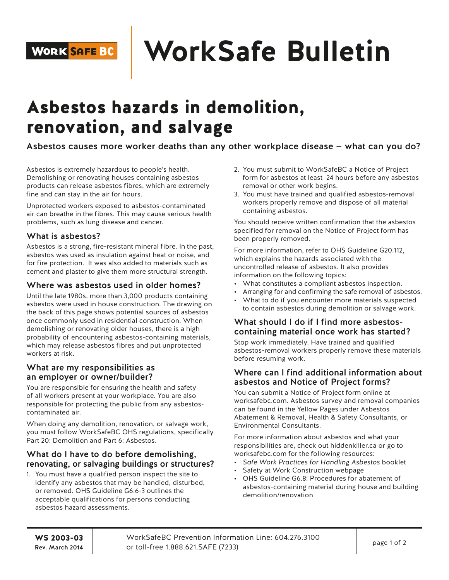## **WorkSafe Bulletin**

### Asbestos hazards in demolition, renovation, and salvage

Asbestos causes more worker deaths than any other workplace disease — what can you do?

Asbestos is extremely hazardous to people's health. Demolishing or renovating houses containing asbestos products can release asbestos fibres, which are extremely fine and can stay in the air for hours.

Unprotected workers exposed to asbestos-contaminated air can breathe in the fibres. This may cause serious health problems, such as lung disease and cancer.

#### What is asbestos?

Asbestos is a strong, fire-resistant mineral fibre. In the past, asbestos was used as insulation against heat or noise, and for fire protection. It was also added to materials such as cement and plaster to give them more structural strength.

#### Where was asbestos used in older homes?

Until the late 1980s, more than 3,000 products containing asbestos were used in house construction. The drawing on the back of this page shows potential sources of asbestos once commonly used in residential construction. When demolishing or renovating older houses, there is a high probability of encountering asbestos-containing materials, which may release asbestos fibres and put unprotected workers at risk.

#### What are my responsibilities as an employer or owner/builder?

You are responsible for ensuring the health and safety of all workers present at your workplace. You are also responsible for protecting the public from any asbestoscontaminated air.

When doing any demolition, renovation, or salvage work, you must follow WorkSafeBC OHS regulations, specifically Part 20: Demolition and Part 6: Asbestos.

#### What do I have to do before demolishing, renovating, or salvaging buildings or structures?

1. You must have a qualified person inspect the site to identify any asbestos that may be handled, disturbed, or removed. OHS Guideline G6.6-3 outlines the acceptable qualifications for persons conducting asbestos hazard assessments.

- 2. You must submit to WorkSafeBC a Notice of Project form for asbestos at least 24 hours before any asbestos removal or other work begins.
- 3. You must have trained and qualified asbestos-removal workers properly remove and dispose of all material containing asbestos.

You should receive written confirmation that the asbestos specified for removal on the Notice of Project form has been properly removed.

For more information, refer to OHS Guideline G20.112, which explains the hazards associated with the uncontrolled release of asbestos. It also provides information on the following topics:

- What constitutes a compliant asbestos inspection.
- Arranging for and confirming the safe removal of asbestos.
- What to do if you encounter more materials suspected to contain asbestos during demolition or salvage work.

#### What should I do if I find more asbestoscontaining material once work has started?

Stop work immediately. Have trained and qualified asbestos-removal workers properly remove these materials before resuming work.

#### Where can I find additional information about asbestos and Notice of Project forms?

You can submit a Notice of Project form online at worksafebc.com. Asbestos survey and removal companies can be found in the Yellow Pages under Asbestos Abatement & Removal, Health & Safety Consultants, or Environmental Consultants.

For more information about asbestos and what your responsibilities are, check out hiddenkiller.ca or go to worksafebc.com for the following resources:

- *Safe Work Practices for Handling Asbestos* booklet
- Safety at Work Construction webpage
- OHS Guideline G6.8: Procedures for abatement of asbestos-containing material during house and building demolition/renovation